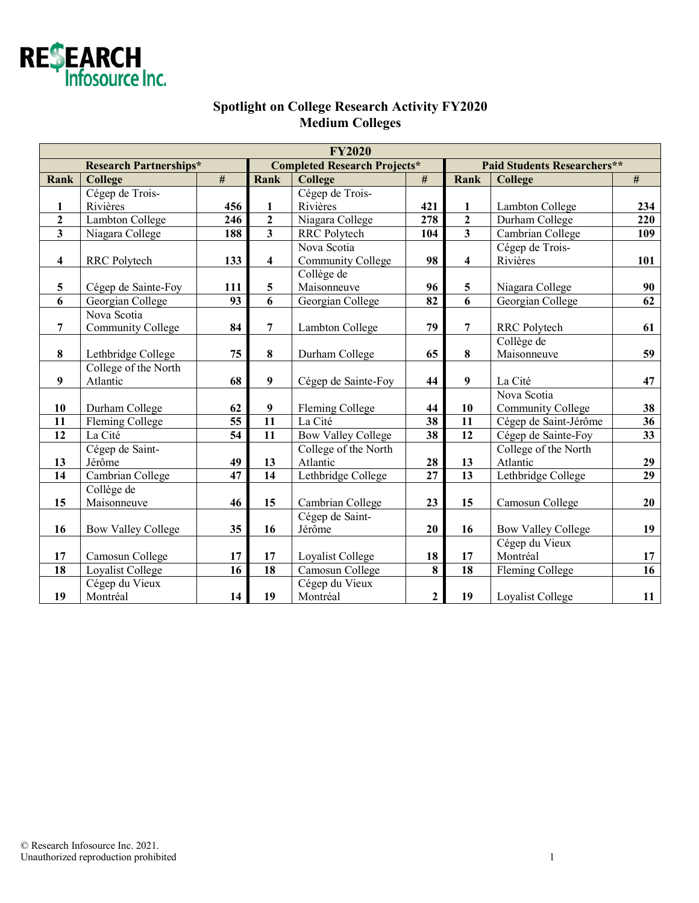

## **Spotlight on College Research Activity FY2020 Medium Colleges**

| <b>FY2020</b>                 |                           |                  |                                     |                           |                 |                                    |                           |                 |  |  |  |
|-------------------------------|---------------------------|------------------|-------------------------------------|---------------------------|-----------------|------------------------------------|---------------------------|-----------------|--|--|--|
| <b>Research Partnerships*</b> |                           |                  | <b>Completed Research Projects*</b> |                           |                 | <b>Paid Students Researchers**</b> |                           |                 |  |  |  |
| <b>Rank</b>                   | College                   | $\#$             | Rank                                | <b>College</b>            | $\#$            | Rank                               | <b>College</b>            | $\#$            |  |  |  |
|                               | Cégep de Trois-           |                  |                                     | Cégep de Trois-           |                 |                                    |                           |                 |  |  |  |
| $\mathbf{1}$                  | Rivières                  | 456              | $\mathbf{1}$                        | Rivières                  | 421             | $\mathbf{1}$                       | Lambton College           | 234             |  |  |  |
| $\mathbf 2$                   | Lambton College           | $\overline{246}$ | $\mathbf{2}$                        | Niagara College           | 278             | $\overline{2}$                     | Durham College            | 220             |  |  |  |
| $\overline{\mathbf{3}}$       | Niagara College           | 188              | $\overline{\mathbf{3}}$             | <b>RRC</b> Polytech       | 104             | $\overline{\mathbf{3}}$            | Cambrian College          | 109             |  |  |  |
|                               |                           |                  |                                     | Nova Scotia               |                 |                                    | Cégep de Trois-           |                 |  |  |  |
| 4                             | RRC Polytech              | 133              | $\overline{\mathbf{4}}$             | <b>Community College</b>  | 98              | $\overline{\mathbf{4}}$            | Rivières                  | 101             |  |  |  |
|                               |                           |                  |                                     | Collège de                |                 |                                    |                           |                 |  |  |  |
| 5                             | Cégep de Sainte-Foy       | 111              | 5                                   | Maisonneuve               | 96              | 5                                  | Niagara College           | 90              |  |  |  |
| 6                             | Georgian College          | 93               | 6                                   | Georgian College          | 82              | 6                                  | Georgian College          | 62              |  |  |  |
|                               | Nova Scotia               |                  |                                     |                           |                 |                                    |                           |                 |  |  |  |
| $\overline{7}$                | <b>Community College</b>  | 84               | $\overline{7}$                      | <b>Lambton College</b>    | 79              | 7                                  | RRC Polytech              | 61              |  |  |  |
|                               |                           |                  |                                     |                           |                 |                                    | Collège de                |                 |  |  |  |
| $\bf{8}$                      | Lethbridge College        | 75               | 8                                   | Durham College            | 65              | 8                                  | Maisonneuve               | 59              |  |  |  |
|                               | College of the North      |                  |                                     |                           |                 |                                    |                           |                 |  |  |  |
| 9                             | Atlantic                  | 68               | 9                                   | Cégep de Sainte-Foy       | 44              | $\boldsymbol{9}$                   | La Cité                   | 47              |  |  |  |
|                               |                           |                  |                                     |                           |                 |                                    | Nova Scotia               |                 |  |  |  |
| 10                            | Durham College            | 62               | 9                                   | Fleming College           | 44              | 10                                 | <b>Community College</b>  | 38              |  |  |  |
| $\overline{11}$               | Fleming College           | $\overline{55}$  | $\overline{11}$                     | La Cité                   | 38              | $\overline{11}$                    | Cégep de Saint-Jérôme     | $\overline{36}$ |  |  |  |
| $\overline{12}$               | La Cité                   | $\overline{54}$  | $\overline{11}$                     | <b>Bow Valley College</b> | $\overline{38}$ | $\overline{12}$                    | Cégep de Sainte-Foy       | $\overline{33}$ |  |  |  |
|                               | Cégep de Saint-           |                  |                                     | College of the North      |                 |                                    | College of the North      |                 |  |  |  |
| 13                            | Jérôme                    | 49               | 13                                  | Atlantic                  | 28              | 13                                 | Atlantic                  | 29              |  |  |  |
| 14                            | Cambrian College          | 47               | 14                                  | Lethbridge College        | $\overline{27}$ | 13                                 | Lethbridge College        | 29              |  |  |  |
|                               | Collège de                |                  |                                     |                           |                 |                                    |                           |                 |  |  |  |
| 15                            | Maisonneuve               | 46               | 15                                  | Cambrian College          | 23              | 15                                 | Camosun College           | 20              |  |  |  |
|                               |                           |                  |                                     | Cégep de Saint-           |                 |                                    |                           |                 |  |  |  |
| 16                            | <b>Bow Valley College</b> | 35               | 16                                  | Jérôme                    | 20              | 16                                 | <b>Bow Valley College</b> | 19              |  |  |  |
|                               |                           |                  |                                     |                           |                 |                                    | Cégep du Vieux            |                 |  |  |  |
| 17                            | Camosun College           | 17               | 17                                  | Loyalist College          | 18              | 17                                 | Montréal                  | 17              |  |  |  |
| 18                            | Loyalist College          | 16               | 18                                  | Camosun College           | 8               | $\overline{18}$                    | Fleming College           | $\overline{16}$ |  |  |  |
|                               | Cégep du Vieux            |                  |                                     | Cégep du Vieux            |                 |                                    |                           |                 |  |  |  |
| 19                            | Montréal                  | 14               | 19                                  | Montréal                  | $\mathbf{2}$    | 19                                 | Loyalist College          | 11              |  |  |  |